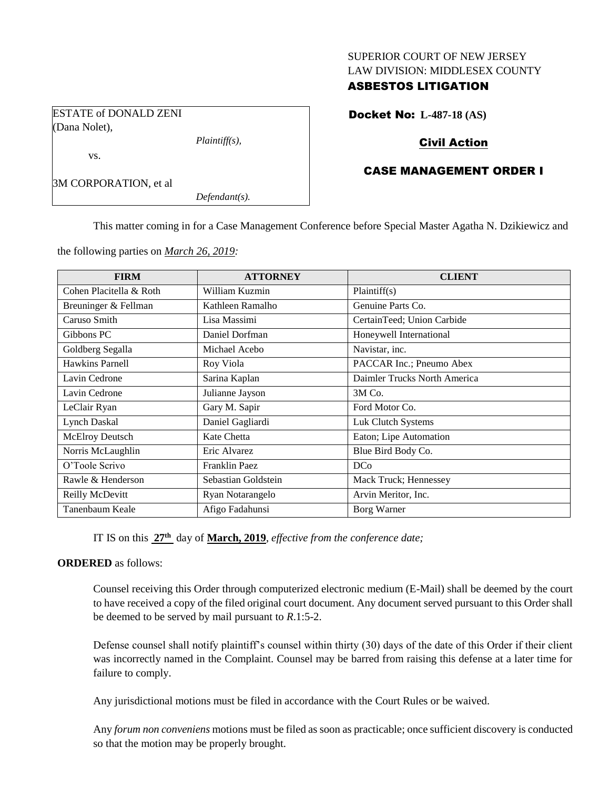### SUPERIOR COURT OF NEW JERSEY LAW DIVISION: MIDDLESEX COUNTY

## ASBESTOS LITIGATION

Docket No: **L-487-18 (AS)**

ESTATE of DONALD ZENI (Dana Nolet),

*Plaintiff(s),*

# Civil Action

## CASE MANAGEMENT ORDER I

3M CORPORATION, et al

vs.

*Defendant(s).*

This matter coming in for a Case Management Conference before Special Master Agatha N. Dzikiewicz and

the following parties on *March 26, 2019:*

| <b>FIRM</b>             | <b>ATTORNEY</b>     | <b>CLIENT</b>                |
|-------------------------|---------------------|------------------------------|
| Cohen Placitella & Roth | William Kuzmin      | Plaintiff(s)                 |
| Breuninger & Fellman    | Kathleen Ramalho    | Genuine Parts Co.            |
| Caruso Smith            | Lisa Massimi        | CertainTeed; Union Carbide   |
| Gibbons PC              | Daniel Dorfman      | Honeywell International      |
| Goldberg Segalla        | Michael Acebo       | Navistar, inc.               |
| <b>Hawkins Parnell</b>  | Roy Viola           | PACCAR Inc.; Pneumo Abex     |
| Lavin Cedrone           | Sarina Kaplan       | Daimler Trucks North America |
| Lavin Cedrone           | Julianne Jayson     | 3M Co.                       |
| LeClair Ryan            | Gary M. Sapir       | Ford Motor Co.               |
| Lynch Daskal            | Daniel Gagliardi    | Luk Clutch Systems           |
| McElroy Deutsch         | Kate Chetta         | Eaton; Lipe Automation       |
| Norris McLaughlin       | Eric Alvarez        | Blue Bird Body Co.           |
| O'Toole Scrivo          | Franklin Paez       | <b>DCo</b>                   |
| Rawle & Henderson       | Sebastian Goldstein | Mack Truck; Hennessey        |
| Reilly McDevitt         | Ryan Notarangelo    | Arvin Meritor, Inc.          |
| Tanenbaum Keale         | Afigo Fadahunsi     | Borg Warner                  |

IT IS on this **27th** day of **March, 2019**, *effective from the conference date;*

## **ORDERED** as follows:

Counsel receiving this Order through computerized electronic medium (E-Mail) shall be deemed by the court to have received a copy of the filed original court document. Any document served pursuant to this Order shall be deemed to be served by mail pursuant to *R*.1:5-2.

Defense counsel shall notify plaintiff's counsel within thirty (30) days of the date of this Order if their client was incorrectly named in the Complaint. Counsel may be barred from raising this defense at a later time for failure to comply.

Any jurisdictional motions must be filed in accordance with the Court Rules or be waived.

Any *forum non conveniens* motions must be filed as soon as practicable; once sufficient discovery is conducted so that the motion may be properly brought.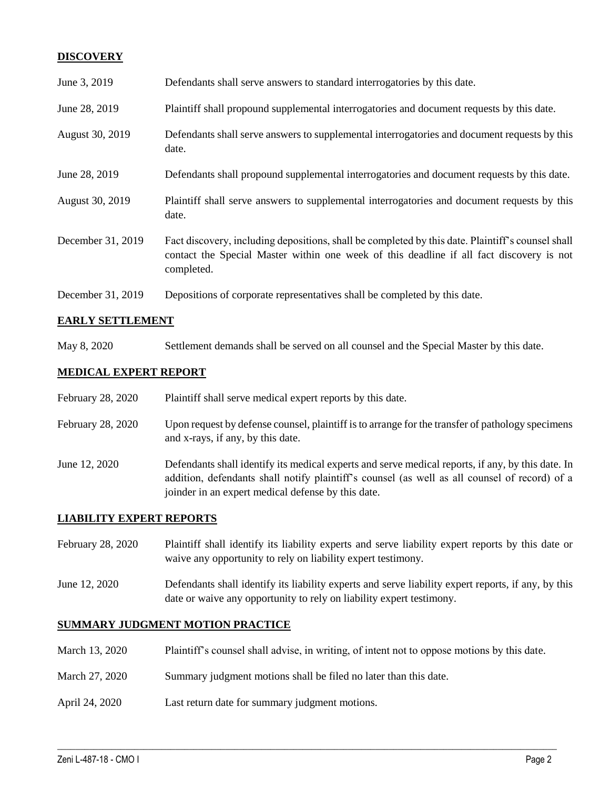## **DISCOVERY**

| June 3, 2019      | Defendants shall serve answers to standard interrogatories by this date.                                                                                                                                    |
|-------------------|-------------------------------------------------------------------------------------------------------------------------------------------------------------------------------------------------------------|
| June 28, 2019     | Plaintiff shall propound supplemental interrogatories and document requests by this date.                                                                                                                   |
| August 30, 2019   | Defendants shall serve answers to supplemental interrogatories and document requests by this<br>date.                                                                                                       |
| June 28, 2019     | Defendants shall propound supplemental interrogatories and document requests by this date.                                                                                                                  |
| August 30, 2019   | Plaintiff shall serve answers to supplemental interrogatories and document requests by this<br>date.                                                                                                        |
| December 31, 2019 | Fact discovery, including depositions, shall be completed by this date. Plaintiff's counsel shall<br>contact the Special Master within one week of this deadline if all fact discovery is not<br>completed. |
| December 31, 2019 | Depositions of corporate representatives shall be completed by this date.                                                                                                                                   |

## **EARLY SETTLEMENT**

May 8, 2020 Settlement demands shall be served on all counsel and the Special Master by this date.

## **MEDICAL EXPERT REPORT**

| February 28, 2020 | Plaintiff shall serve medical expert reports by this date.                                                                                                                                                                                               |
|-------------------|----------------------------------------------------------------------------------------------------------------------------------------------------------------------------------------------------------------------------------------------------------|
| February 28, 2020 | Upon request by defense counsel, plaintiff is to arrange for the transfer of pathology specimens<br>and x-rays, if any, by this date.                                                                                                                    |
| June 12, 2020     | Defendants shall identify its medical experts and serve medical reports, if any, by this date. In<br>addition, defendants shall notify plaintiff's counsel (as well as all counsel of record) of a<br>joinder in an expert medical defense by this date. |

## **LIABILITY EXPERT REPORTS**

- February 28, 2020 Plaintiff shall identify its liability experts and serve liability expert reports by this date or waive any opportunity to rely on liability expert testimony.
- June 12, 2020 Defendants shall identify its liability experts and serve liability expert reports, if any, by this date or waive any opportunity to rely on liability expert testimony.

## **SUMMARY JUDGMENT MOTION PRACTICE**

March 13, 2020 Plaintiff's counsel shall advise, in writing, of intent not to oppose motions by this date.

 $\_$  ,  $\_$  ,  $\_$  ,  $\_$  ,  $\_$  ,  $\_$  ,  $\_$  ,  $\_$  ,  $\_$  ,  $\_$  ,  $\_$  ,  $\_$  ,  $\_$  ,  $\_$  ,  $\_$  ,  $\_$  ,  $\_$  ,  $\_$  ,  $\_$  ,  $\_$  ,  $\_$  ,  $\_$  ,  $\_$  ,  $\_$  ,  $\_$  ,  $\_$  ,  $\_$  ,  $\_$  ,  $\_$  ,  $\_$  ,  $\_$  ,  $\_$  ,  $\_$  ,  $\_$  ,  $\_$  ,  $\_$  ,  $\_$  ,

- March 27, 2020 Summary judgment motions shall be filed no later than this date.
- April 24, 2020 Last return date for summary judgment motions.